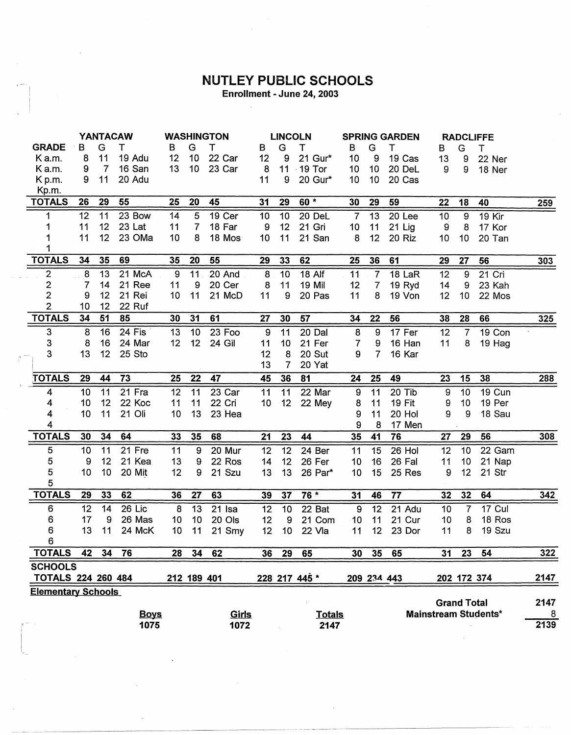## **NUTLEY PUBLIC SCHOOLS**

Enrollment - June 24, 2003

 $\bar{z}$ 

|                           | <b>YANTACAW</b> |                 |             | <b>WASHINGTON</b> |                  |              | <b>LINCOLN</b> |                 |                 | <b>SPRING GARDEN</b> |                  |               | <b>RADCLIFFE</b> |                    |                             |            |
|---------------------------|-----------------|-----------------|-------------|-------------------|------------------|--------------|----------------|-----------------|-----------------|----------------------|------------------|---------------|------------------|--------------------|-----------------------------|------------|
| <b>GRADE</b>              | в               | G               | т           | в                 | G                | т            | B              | G               | т               | B                    | G                | Т             | в                | G                  | T                           |            |
| Ka.m.                     | 8               | 11              | 19 Adu      | 12                | 10               | 22 Car       | 12             | 9               | 21 Gur*         | 10                   | 9                | 19 Cas        | 13               | 9                  | 22 Ner                      |            |
| K a.m.                    | 9               | $\overline{7}$  | 16 San      | 13                | 10 <sub>1</sub>  | 23 Car       | 8              |                 | 11 19 Tor       | 10                   | 10 <sub>1</sub>  | 20 DeL        | 9                | 9                  | 18 Ner                      |            |
| K p.m.                    | 9               | 11              | 20 Adu      |                   |                  |              | 11             | 9               | 20 Gur*         | 10                   | 10               | 20 Cas        |                  |                    |                             |            |
| Kp.m.                     |                 |                 |             |                   |                  |              |                |                 |                 |                      |                  |               |                  |                    |                             |            |
| <b>TOTALS</b>             | 26              | 29              | 55          | 25                | 20               | 45           | 31             | 29              | $60*$           | 30                   | 29               | 59            | 22               | 18                 | 40                          | <u>259</u> |
| 1                         | 12              | 11              | 23 Bow      | 14                | 5                | 19 Cer       | 10             | 10              | 20 DeL          | $\overline{7}$       | 13               | 20 Lee        | 10 <sub>1</sub>  | 9                  | 19 Kir                      |            |
| 1                         | 11              | 12 <sub>2</sub> | 23 Lat      | 11                | $\overline{7}$   | 18 Far       | 9              | 12              | 21 Gri          | 10                   | 11               | 21 Lig        | 9                | 8                  | 17 Kor                      |            |
| 1                         | 11              | 12              | 23 OMa      | 10                | 8                | 18 Mos       | 10             | 11              | 21 San          | 8                    | 12 <sub>2</sub>  | 20 Riz        | 10 <sub>1</sub>  | 10                 | 20 Tan                      |            |
| 1                         |                 |                 |             |                   |                  |              |                |                 |                 |                      |                  |               |                  |                    |                             |            |
| <b>TOTALS</b>             | 34              | 35              | 69          | 35                | 20               | 55           | 29             | 33              | 62              | 25                   | 36               | 61            | 29               | 27                 | 56                          | 303        |
| $\overline{2}$            | 8               | 13              | 21 McA      | $\boldsymbol{9}$  | 11               | 20 And       | 8              | $\overline{10}$ | 18 Alf          | 11                   | $\overline{7}$   | 18 LaR        | 12               | $\overline{9}$     | $21$ Cri                    |            |
| $\overline{c}$            | 7               | 14              | 21 Ree      | 11                | $\boldsymbol{9}$ | 20 Cer       | 8              | 11              | 19 Mil          | 12                   | $\overline{7}$   | 19 Ryd        | 14               | 9                  | 23 Kah                      |            |
| $\overline{c}$            | 9               | 12              | 21 Rei      | 10                | 11               | 21 McD       | 11             | 9               | 20 Pas          | 11                   | 8                | 19 Von        | 12               | 10                 | 22 Mos                      |            |
| $\overline{2}$            | 10              | 12              | 22 Ruf      |                   |                  |              |                |                 |                 |                      |                  |               |                  |                    |                             |            |
| <b>TOTALS</b>             | 34              | 51              | 85          | 30                | 31               | 61           | 27             | 30              | 57              | 34                   | 22               | 56            | 38               | 28                 | 66                          | 325        |
| 3                         | 8               | 16              | 24 Fis      | 13                | 10               | 23 Foo       | $\overline{9}$ | 11              | $20$ Dal        | $\bf8$               | $\boldsymbol{9}$ | 17 Fer        | 12               | $\overline{7}$     | 19 Con                      |            |
| 3                         | 8               | 16              | 24 Mar      | 12 <sub>2</sub>   | 12               | 24 Gil       | 11             | 10              | 21 Fer          | $\overline{7}$       | 9                | 16 Han        | 11               | 8                  | 19 Hag                      |            |
| 3                         | 13              | 12              | 25 Sto      |                   |                  |              | 12             | 8               | 20 Sut          | 9                    | $\overline{7}$   | 16 Kar        |                  |                    |                             |            |
|                           |                 |                 |             |                   |                  |              | 13             | $\overline{7}$  | 20 Yat          |                      |                  |               |                  |                    |                             |            |
| <b>TOTALS</b>             | 29              | 44              | 73          | 25                | 22               | 47           | 45             | 36              | $\overline{81}$ | 24                   | 25               | 49            | 23               | 15                 | 38                          | 288        |
| 4                         | 10              | 11              | 21 Fra      | 12                | 11               | 23 Car       | 11             | 11              | 22 Mar          | $\boldsymbol{9}$     | 11               | 20 Tib        | 9                | 10                 | 19 Cun                      |            |
| 4                         | 10              | 12              | 22 Koc      | 11                | 11               | 22 Cri       | 10             | 12 <sub>2</sub> | 22 Mey          | 8                    | 11               | <b>19 Fit</b> | 9                | 10                 | 19 Per                      |            |
| 4                         | 10              | 11              | 21 Oli      | 10                | 13               | 23 Hea       |                |                 |                 | 9                    | 11               | 20 Hol        | 9                | 9                  | 18 Sau                      |            |
| 4                         |                 |                 |             |                   |                  |              |                |                 |                 | 9                    | 8                | 17 Men        |                  |                    |                             |            |
| <b>TOTALS</b>             | 30              | 34              | 64          | 33                | 35               | 68           | 21             | 23              | 44              | 35                   | 41               | 76            | 27               | 29                 | 56                          | 308        |
| 5                         | 10              | 11              | 21 Fre      | 11                | 9                | 20 Mur       | 12             | $\overline{12}$ | 24 Ber          | 11                   | 15               | 26 Hol        | 12               | 10                 | 22 Gam                      |            |
| 5                         | 9               | 12              | 21 Kea      | 13                | 9                | 22 Ros       | 14             | 12              | 26 Fer          | 10                   | 16               | 26 Fal        | 11               | 10                 | 21 Nap                      |            |
| 5                         | 10              | 10              | 20 Mit      | 12                | 9                | 21 Szu       | 13             | 13              | 26 Par*         | 10                   | 15               | 25 Res        | 9                | 12                 | 21 Str                      |            |
| 5                         |                 |                 |             |                   |                  |              |                |                 |                 |                      |                  |               |                  |                    |                             |            |
| <b>TOTALS</b>             | 29              | 33              | 62          | 36                | 27               | 63           | 39             | 37              | $76*$           | 31                   | 46               | 77            | 32               | 32                 | 64                          | $342$      |
| 6                         | 12              | 14              | 26 Lic      | 8                 | 13               | $21$ Isa     | 12             | 10              | 22 Bat          | 9                    | 12               | 21 Adu        | 10               | 7                  | 17 Cul                      |            |
| 6                         | 17              | 9               | 26 Mas      | 10                | 10               | 20 Ols       | 12             | 9               | 21 Com          | 10                   | 11               | 21 Cur        | 10               | 8                  | 18 Ros                      |            |
| 6                         | 13              | 11              | 24 McK      | 10                | 11               | 21 Smy       | 12             | 10 <sub>1</sub> | 22 Vla          | 11                   | 12               | 23 Dor        | 11               | 8                  | 19 Szu                      |            |
| 6                         |                 |                 |             |                   |                  |              |                |                 |                 |                      |                  |               |                  |                    |                             |            |
| <b>TOTALS</b>             | 42              | 34              | 76          | 28                | 34               | 62           | 36             | 29              | 65              | 30                   | 35               | 65            | 31               | 23                 | 54                          | 322        |
| <b>SCHOOLS</b>            |                 |                 |             |                   |                  |              |                |                 |                 |                      |                  |               |                  |                    |                             |            |
| <b>TOTALS 224 260 484</b> |                 |                 |             |                   | 212 189 401      |              |                |                 | 228 217 445 *   |                      |                  | 209 234 443   |                  |                    | 202 172 374                 | 2147       |
| <b>Elementary Schools</b> |                 |                 |             |                   |                  |              |                |                 |                 |                      |                  |               |                  |                    |                             |            |
|                           |                 |                 |             |                   |                  |              |                |                 |                 |                      |                  |               |                  | <b>Grand Total</b> |                             | 2147       |
|                           |                 |                 | <b>Boys</b> |                   |                  | <u>Girls</u> |                |                 | <b>Totals</b>   |                      |                  |               |                  |                    | <b>Mainstream Students*</b> | 8          |
|                           |                 |                 | 1075        |                   |                  | 1072         |                |                 | 2147            |                      |                  |               |                  |                    |                             | 2139       |